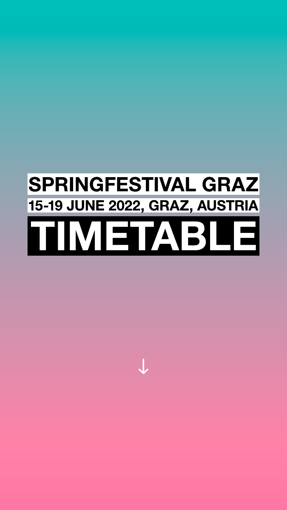## SPRINGFESTIVAL GRAZ **15-19 JUNE 2022, GRAZ, AUSTRIA**



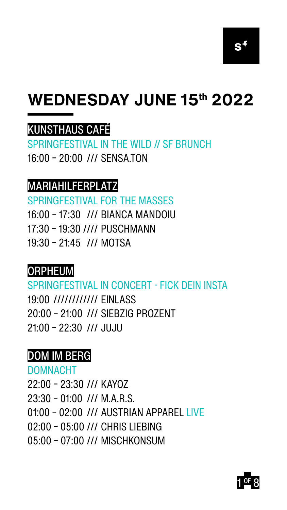



### **WEDNESDAY JUNE 15th 2022**

### KUNSTHAUS CAFÉ

SPRINGFESTIVAL IN THE WILD // SF BRUNCH 16:00 – 20:00 /// SENSA.TON

### MARIAHILFERPLATZ

SPRINGFESTIVAL FOR THE MASSES

- 16:00 17:30 /// BIANCA MANDOIU
- 17:30 19:30 //// PUSCHMANN
- 19:30 21:45 /// MOTSA

### ORPHEUM

SPRINGFESTIVAL IN CONCERT - FICK DEIN INSTA 19:00 //////////// EINLASS 20:00 – 21:00 /// SIEBZIG PROZENT 21:00 – 22:30 /// JUJU

### DOM IM BERG

DOMNACHT

- 22:00 23:30 /// KAYOZ
- 23:30 01:00 /// M.A.R.S.
- 01:00 02:00 /// AUSTRIAN APPAREL LIVE
- 02:00 05:00 /// CHRIS LIEBING
- 05:00 07:00 /// MISCHKONSUM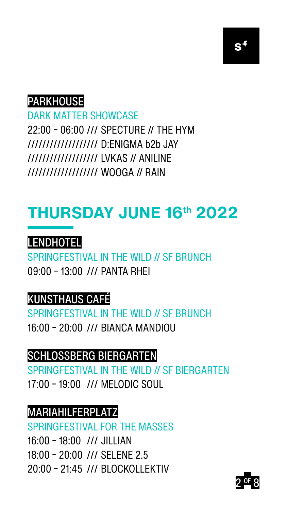



### PARKHOUSE

DARK MATTER SHOWCASE 22:00 – 06:00 /// SPECTURE // THE HYM /////////////////// D:ENIGMA b2b JAY /////////////////// LVKAS // ANILINE

#### /////////////////// WOOGA // RAIN

## **THURSDAY JUNE 16th 2022**



### SPRINGFESTIVAL IN THE WILD // SF BRUNCH

#### 09:00 – 13:00 /// PANTA RHEI

### KUNSTHAUS CAFÉ

SPRINGFESTIVAL IN THE WILD // SF BRUNCH 16:00 – 20:00 /// BIANCA MANDIOU

### SCHLOSSBERG BIERGARTEN

SPRINGFESTIVAL IN THE WILD // SF BIERGARTEN 17:00 – 19:00 /// MELODIC SOUL

### MARIAHILFERPLATZ

SPRINGFESTIVAL FOR THE MASSES

- 16:00 18:00 /// JILLIAN
- 18:00 20:00 /// SELENE 2.5
- 20:00 21:45 /// BLOCKOLLEKTIV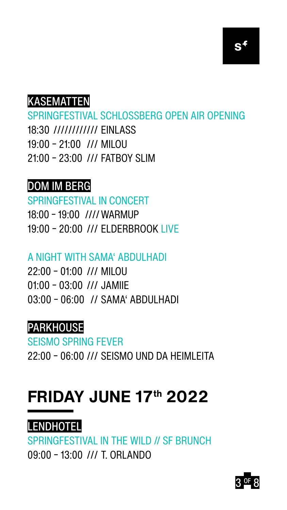





SPRINGFESTIVAL SCHLOSSBERG OPEN AIR OPENING 18:30 //////////// EINLASS 19:00 – 21:00 /// MILOU 21:00 – 23:00 /// FATBOY SLIM

### DOM IM BERG

### SPRINGFESTIVAL IN CONCERT

- 18:00 19:00 ////WARMUP
- 19:00 20:00 /// ELDERBROOK LIVE

### A NIGHT WITH SAMA' ABDULHADI

- 22:00 01:00 /// MILOU
- 01:00 03:00 /// JAMIIE
- 03:00 06:00 // SAMA' ABDULHADI



### SEISMO SPRING FEVER 22:00 – 06:00 /// SEISMO UND DA HEIMLEITA

### **FRIDAY JUNE 17th 2022**



SPRINGFESTIVAL IN THE WILD // SF BRUNCH 09:00 – 13:00 /// T. ORLANDO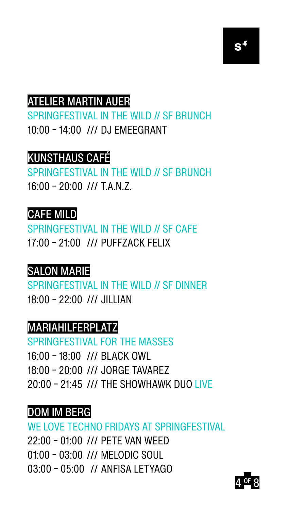

#### ATELIER MARTIN AUER



### SPRINGFESTIVAL IN THE WILD // SF BRUNCH 10:00 – 14:00 /// DJ EMEEGRANT



### SPRINGFESTIVAL IN THE WILD // SF BRUNCH 16:00 – 20:00 /// T.A.N.Z.



SPRINGFESTIVAL IN THE WILD // SF CAFE 17:00 – 21:00 /// PUFFZACK FELIX



SPRINGFESTIVAL IN THE WILD // SF DINNER 18:00 – 22:00 /// JILLIAN



### SPRINGFESTIVAL FOR THE MASSES 16:00 – 18:00 /// BLACK OWL

- 18:00 20:00 /// JORGE TAVAREZ
- 20:00 21:45 /// THE SHOWHAWK DUO LIVE

### DOM IM BERG

### WE LOVE TECHNO FRIDAYS AT SPRINGFESTIVAL 22:00 – 01:00 /// PETE VAN WEED 01:00 – 03:00 /// MELODIC SOUL 03:00 – 05:00 // ANFISA LETYAGO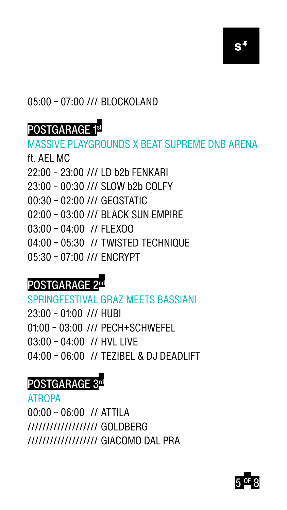

### 05:00 – 07:00 /// BLOCKOLAND



### POSTGARAGE 1st

# MASSIVE PLAYGROUNDS X BEAT SUPREME DNB ARENA

### ft. AEL MC

### 22:00 – 23:00 /// LD b2b FENKARI

- 23:00 00:30 /// SLOW b2b COLFY
- 00:30 02:00 /// GEOSTATIC
- 02:00 03:00 /// BLACK SUN EMPIRE
- 03:00 04:00 // FLEXOO
- 04:00 05:30 // TWISTED TECHNIQUE
- 05:30 07:00 /// ENCRYPT

### POSTGARAGE 2nd

SPRINGFESTIVAL GRAZ MEETS BASSIANI 23:00 – 01:00 /// HUBI 01:00 – 03:00 /// PECH+SCHWEFEL

- 03:00 04:00 // HVL LIVE
- 04:00 06:00 // TEZIBEL & DJ DEADLIFT

### POSTGARAGE 3rd

ATROPA

### 00:00 – 06:00 // ATTILA /////////////////// GOLDBERG /////////////////// GIACOMO DAL PRA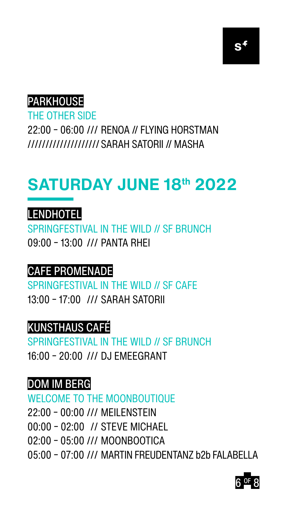

PARKHOUSE

### THE OTHER SIDE 22:00 – 06:00 /// RENOA // FLYING HORSTMAN //////////////////// SARAH SATORII // MASHA



## **SATURDAY JUNE 18th 2022**



### SPRINGFESTIVAL IN THE WILD // SF BRUNCH 09:00 – 13:00 /// PANTA RHEI

### CAFE PROMENADE

SPRINGFESTIVAL IN THE WILD // SF CAFE 13:00 – 17:00 /// SARAH SATORII



### SPRINGFESTIVAL IN THE WILD // SF BRUNCH 16:00 – 20:00 /// DJ EMEEGRANT

### DOM IM BERG

### WELCOME TO THE MOONBOUTIQUE

- 22:00 00:00 /// MEILENSTEIN
- 00:00 02:00 // STEVE MICHAEL
- 02:00 05:00 /// MOONBOOTICA

05:00 – 07:00 /// MARTIN FREUDENTANZ b2b FALABELLA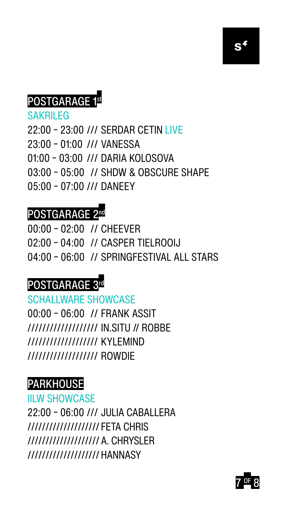



## POSTGARAGE 1st

SAKRILEG

- 22:00 23:00 /// SERDAR CETIN LIVE
- 23:00 01:00 /// VANESSA
- 01:00 03:00 /// DARIA KOLOSOVA

03:00 – 05:00 // SHDW & OBSCURE SHAPE 05:00 – 07:00 /// DANEEY

### POSTGARAGE 2nd

00:00 – 02:00 // CHEEVER

- 02:00 04:00 // CASPER TIELROOIJ
- 04:00 06:00 // SPRINGFESTIVAL ALL STARS

### POSTGARAGE 3rd

SCHALLWARE SHOWCASE 00:00 – 06:00 // FRANK ASSIT /////////////////// IN.SITU // ROBBE /////////////////// KYLEMIND /////////////////// ROWDIE



### IILW SHOWCASE

22:00 – 06:00 /// JULIA CABALLERA //////////////////// FETA CHRIS //////////////////// A. CHRYSLER //////////////////// HANNASY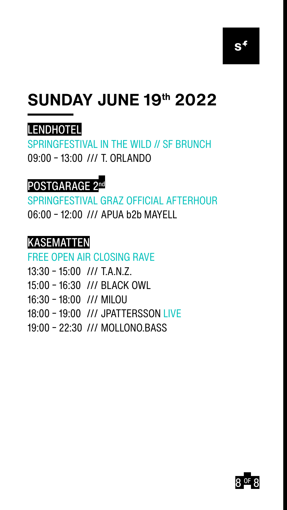

## **SUNDAY JUNE 19th 2022**





### SPRINGFESTIVAL IN THE WILD // SF BRUNCH 09:00 – 13:00 /// T. ORLANDO



### SPRINGFESTIVAL GRAZ OFFICIAL AFTERHOUR 06:00 – 12:00 /// APUA b2b MAYELL



```
FREE OPEN AIR CLOSING RAVE
```
- 13:30 15:00 /// T.A.N.Z.
- 15:00 16:30 /// BLACK OWL
- 16:30 18:00 /// MILOU
- 18:00 19:00 /// JPATTERSSON LIVE
- 19:00 22:30 /// MOLLONO.BASS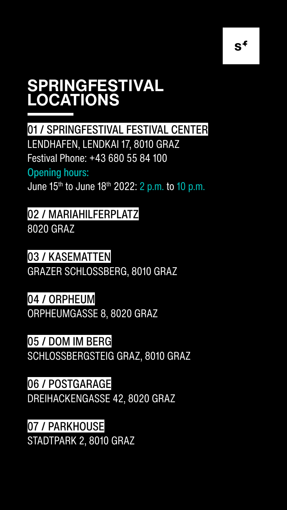01 / SPRINGFESTIVAL FESTIVAL CENTER LENDHAFEN, LENDKAI 17, 8010 GRAZ Festival Phone: +43 680 55 84 100

### Opening hours: June 15th to June 18th 2022: 2 p.m. to 10 p.m.

### 05 / DOM IM BERG SCHLOSSBERGSTEIG GRAZ, 8010 GRAZ

### 02 / MARIAHILFERPLATZ 8020 GRAZ

### 03 / KASEMATTEN

#### GRAZER SCHLOSSBERG, 8010 GRAZ

### 04 / ORPHEUM ORPHEUMGASSE 8, 8020 GRAZ

### 06 / POSTGARAGE

### DREIHACKENGASSE 42, 8020 GRAZ

### 07 / PARKHOUSE

STADTPARK 2, 8010 GRAZ

 $S^+$ 

### **SPRINGFESTIVAL LOCATIONS**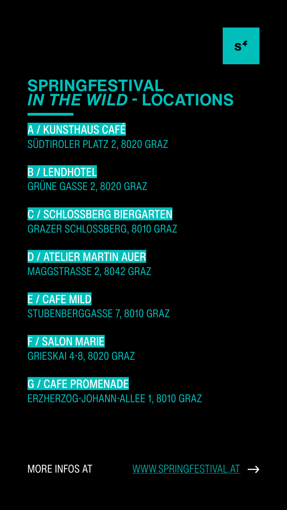A / KUNSTHAUS CAFÉ SÜDTIROLER PLATZ 2, 8020 GRAZ

### B / LENDHOTEL GRÜNE GASSE 2, 8020 GRAZ

C / SCHLOSSBERG BIERGARTEN GRAZER SCHLOSSBERG, 8010 GRAZ

D / ATELIER MARTIN AUER MAGGSTRASSE 2, 8042 GRAZ

E / CAFE MILD STUBENBERGGASSE 7, 8010 GRAZ

### F / SALON MARIE GRIESKAI 4-8, 8020 GRAZ

### G / CAFE PROMENADE

#### ERZHERZOG-JOHANN-ALLEE 1, 8010 GRAZ



### **SPRINGFESTIVAL**  *IN THE WILD* **- LOCATIONS**